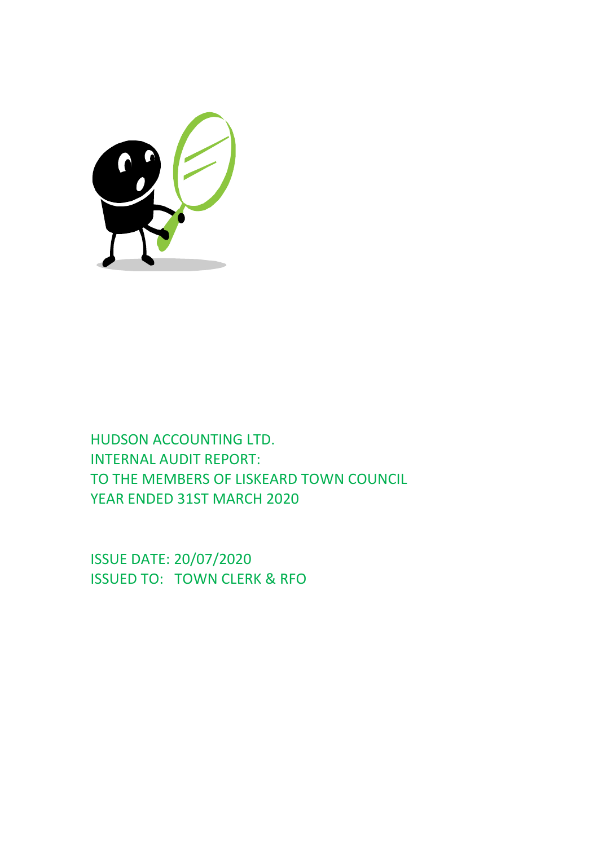

HUDSON ACCOUNTING LTD. INTERNAL AUDIT REPORT: TO THE MEMBERS OF LISKEARD TOWN COUNCIL YEAR ENDED 31ST MARCH 2020

ISSUE DATE: 20/07/2020 ISSUED TO: TOWN CLERK & RFO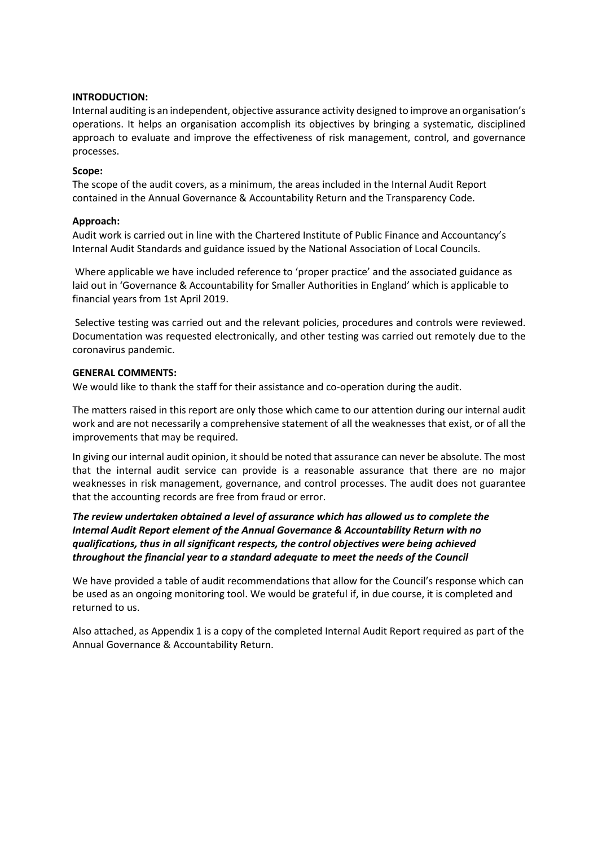# **INTRODUCTION:**

Internal auditing is an independent, objective assurance activity designed to improve an organisation's operations. It helps an organisation accomplish its objectives by bringing a systematic, disciplined approach to evaluate and improve the effectiveness of risk management, control, and governance processes.

# **Scope:**

The scope of the audit covers, as a minimum, the areas included in the Internal Audit Report contained in the Annual Governance & Accountability Return and the Transparency Code.

# **Approach:**

Audit work is carried out in line with the Chartered Institute of Public Finance and Accountancy's Internal Audit Standards and guidance issued by the National Association of Local Councils.

Where applicable we have included reference to 'proper practice' and the associated guidance as laid out in 'Governance & Accountability for Smaller Authorities in England' which is applicable to financial years from 1st April 2019.

Selective testing was carried out and the relevant policies, procedures and controls were reviewed. Documentation was requested electronically, and other testing was carried out remotely due to the coronavirus pandemic.

# **GENERAL COMMENTS:**

We would like to thank the staff for their assistance and co-operation during the audit.

The matters raised in this report are only those which came to our attention during our internal audit work and are not necessarily a comprehensive statement of all the weaknesses that exist, or of all the improvements that may be required.

In giving our internal audit opinion, it should be noted that assurance can never be absolute. The most that the internal audit service can provide is a reasonable assurance that there are no major weaknesses in risk management, governance, and control processes. The audit does not guarantee that the accounting records are free from fraud or error.

# *The review undertaken obtained a level of assurance which has allowed us to complete the Internal Audit Report element of the Annual Governance & Accountability Return with no qualifications, thus in all significant respects, the control objectives were being achieved throughout the financial year to a standard adequate to meet the needs of the Council*

We have provided a table of audit recommendations that allow for the Council's response which can be used as an ongoing monitoring tool. We would be grateful if, in due course, it is completed and returned to us.

Also attached, as Appendix 1 is a copy of the completed Internal Audit Report required as part of the Annual Governance & Accountability Return.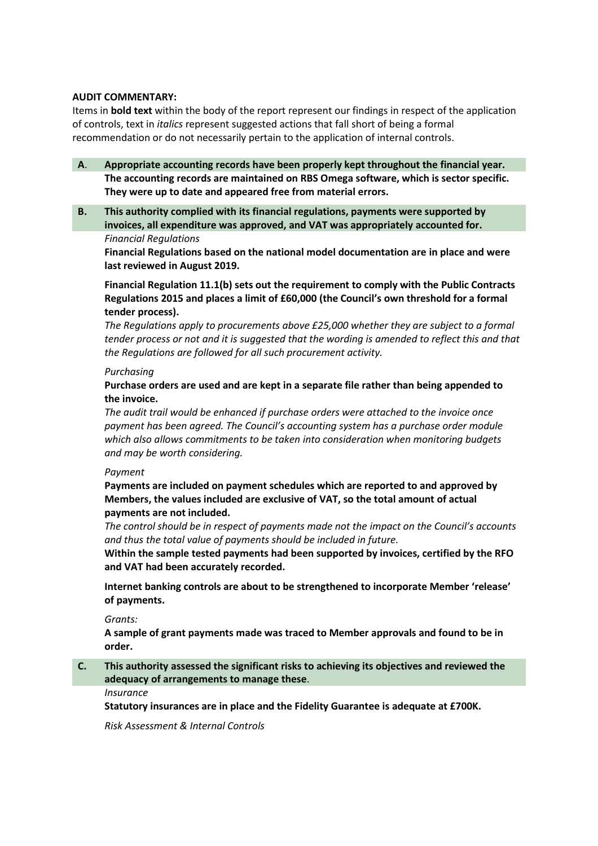# **AUDIT COMMENTARY:**

Items in **bold text** within the body of the report represent our findings in respect of the application of controls, text in *italics* represent suggested actions that fall short of being a formal recommendation or do not necessarily pertain to the application of internal controls.

- **A**. **Appropriate accounting records have been properly kept throughout the financial year. The accounting records are maintained on RBS Omega software, which is sector specific. They were up to date and appeared free from material errors.**
- **B. This authority complied with its financial regulations, payments were supported by invoices, all expenditure was approved, and VAT was appropriately accounted for.** *Financial Regulations*

**Financial Regulations based on the national model documentation are in place and were last reviewed in August 2019.**

# **Financial Regulation 11.1(b) sets out the requirement to comply with the Public Contracts Regulations 2015 and places a limit of £60,000 (the Council's own threshold for a formal tender process).**

*The Regulations apply to procurements above £25,000 whether they are subject to a formal tender process or not and it is suggested that the wording is amended to reflect this and that the Regulations are followed for all such procurement activity.*

## *Purchasing*

# **Purchase orders are used and are kept in a separate file rather than being appended to the invoice.**

*The audit trail would be enhanced if purchase orders were attached to the invoice once payment has been agreed. The Council's accounting system has a purchase order module which also allows commitments to be taken into consideration when monitoring budgets and may be worth considering.*

## *Payment*

**Payments are included on payment schedules which are reported to and approved by Members, the values included are exclusive of VAT, so the total amount of actual payments are not included.**

*The control should be in respect of payments made not the impact on the Council's accounts and thus the total value of payments should be included in future.*

**Within the sample tested payments had been supported by invoices, certified by the RFO and VAT had been accurately recorded.**

**Internet banking controls are about to be strengthened to incorporate Member 'release' of payments.**

#### *Grants:*

**A sample of grant payments made was traced to Member approvals and found to be in order.**

# **C. This authority assessed the significant risks to achieving its objectives and reviewed the adequacy of arrangements to manage these**.

*Insurance*

**Statutory insurances are in place and the Fidelity Guarantee is adequate at £700K.**

*Risk Assessment & Internal Controls*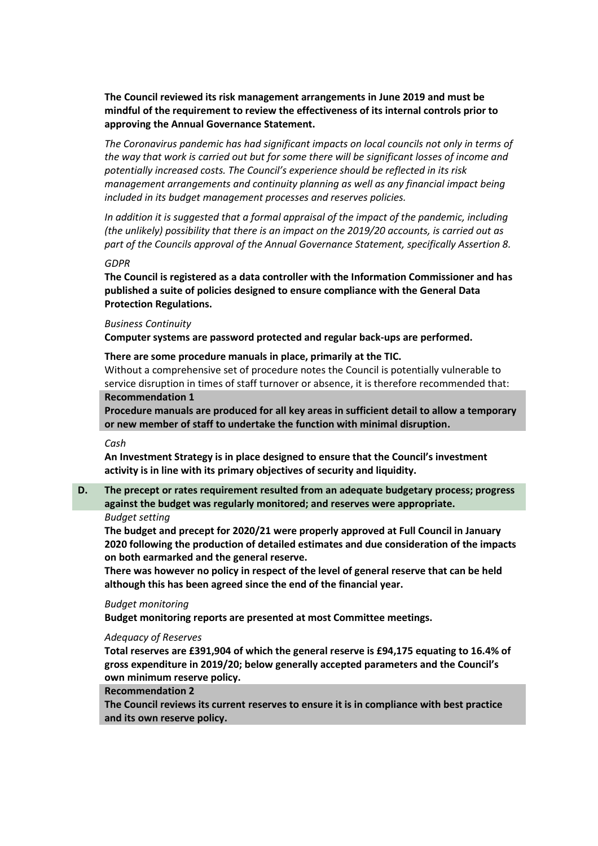**The Council reviewed its risk management arrangements in June 2019 and must be mindful of the requirement to review the effectiveness of its internal controls prior to approving the Annual Governance Statement.**

*The Coronavirus pandemic has had significant impacts on local councils not only in terms of the way that work is carried out but for some there will be significant losses of income and potentially increased costs. The Council's experience should be reflected in its risk management arrangements and continuity planning as well as any financial impact being included in its budget management processes and reserves policies.*

*In addition it is suggested that a formal appraisal of the impact of the pandemic, including (the unlikely) possibility that there is an impact on the 2019/20 accounts, is carried out as part of the Councils approval of the Annual Governance Statement, specifically Assertion 8.*

#### *GDPR*

**The Council is registered as a data controller with the Information Commissioner and has published a suite of policies designed to ensure compliance with the General Data Protection Regulations.**

#### *Business Continuity*

**Computer systems are password protected and regular back-ups are performed.**

# **There are some procedure manuals in place, primarily at the TIC.**

Without a comprehensive set of procedure notes the Council is potentially vulnerable to service disruption in times of staff turnover or absence, it is therefore recommended that: **Recommendation 1**

**Procedure manuals are produced for all key areas in sufficient detail to allow a temporary or new member of staff to undertake the function with minimal disruption.**

*Cash*

**An Investment Strategy is in place designed to ensure that the Council's investment activity is in line with its primary objectives of security and liquidity.**

# **D. The precept or rates requirement resulted from an adequate budgetary process; progress against the budget was regularly monitored; and reserves were appropriate.**

## *Budget setting*

**The budget and precept for 2020/21 were properly approved at Full Council in January 2020 following the production of detailed estimates and due consideration of the impacts on both earmarked and the general reserve.**

**There was however no policy in respect of the level of general reserve that can be held although this has been agreed since the end of the financial year.**

#### *Budget monitoring*

**Budget monitoring reports are presented at most Committee meetings.**

#### *Adequacy of Reserves*

**Total reserves are £391,904 of which the general reserve is £94,175 equating to 16.4% of gross expenditure in 2019/20; below generally accepted parameters and the Council's own minimum reserve policy.**

#### **Recommendation 2**

**The Council reviews its current reserves to ensure it is in compliance with best practice and its own reserve policy.**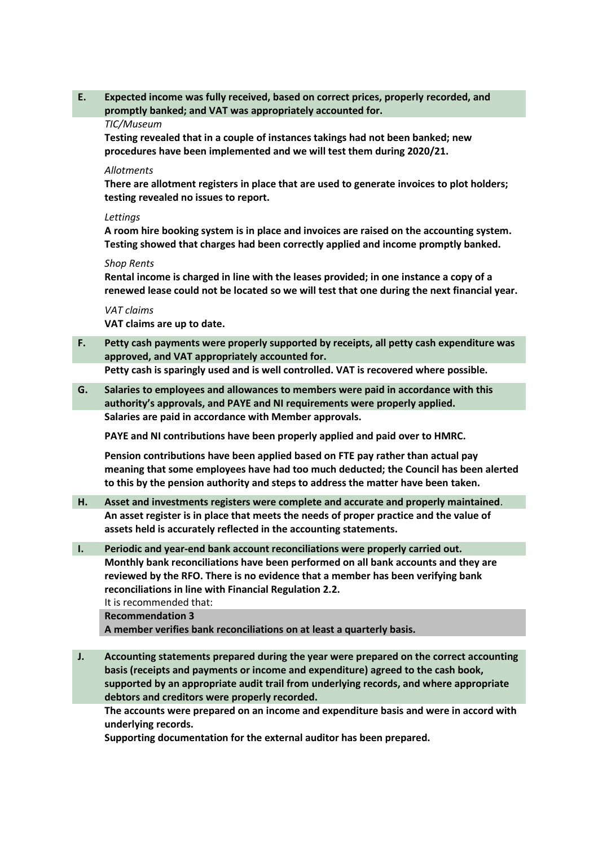**E. Expected income was fully received, based on correct prices, properly recorded, and promptly banked; and VAT was appropriately accounted for.**

#### *TIC/Museum*

**Testing revealed that in a couple of instances takings had not been banked; new procedures have been implemented and we will test them during 2020/21.**

## *Allotments*

**There are allotment registers in place that are used to generate invoices to plot holders; testing revealed no issues to report.**

#### *Lettings*

**A room hire booking system is in place and invoices are raised on the accounting system. Testing showed that charges had been correctly applied and income promptly banked.**

#### *Shop Rents*

**Rental income is charged in line with the leases provided; in one instance a copy of a renewed lease could not be located so we will test that one during the next financial year.**

*VAT claims*

**VAT claims are up to date.** 

**F. Petty cash payments were properly supported by receipts, all petty cash expenditure was approved, and VAT appropriately accounted for.**

**Petty cash is sparingly used and is well controlled. VAT is recovered where possible.**

**G. Salaries to employees and allowances to members were paid in accordance with this authority's approvals, and PAYE and NI requirements were properly applied. Salaries are paid in accordance with Member approvals.**

**PAYE and NI contributions have been properly applied and paid over to HMRC.**

**Pension contributions have been applied based on FTE pay rather than actual pay meaning that some employees have had too much deducted; the Council has been alerted to this by the pension authority and steps to address the matter have been taken.**

- **H. Asset and investments registers were complete and accurate and properly maintained**. **An asset register is in place that meets the needs of proper practice and the value of assets held is accurately reflected in the accounting statements.**
- **I. Periodic and year-end bank account reconciliations were properly carried out. Monthly bank reconciliations have been performed on all bank accounts and they are reviewed by the RFO. There is no evidence that a member has been verifying bank reconciliations in line with Financial Regulation 2.2.**

It is recommended that:

**Recommendation 3**

**A member verifies bank reconciliations on at least a quarterly basis.**

**J. Accounting statements prepared during the year were prepared on the correct accounting basis (receipts and payments or income and expenditure) agreed to the cash book, supported by an appropriate audit trail from underlying records, and where appropriate debtors and creditors were properly recorded.**

**The accounts were prepared on an income and expenditure basis and were in accord with underlying records.**

**Supporting documentation for the external auditor has been prepared.**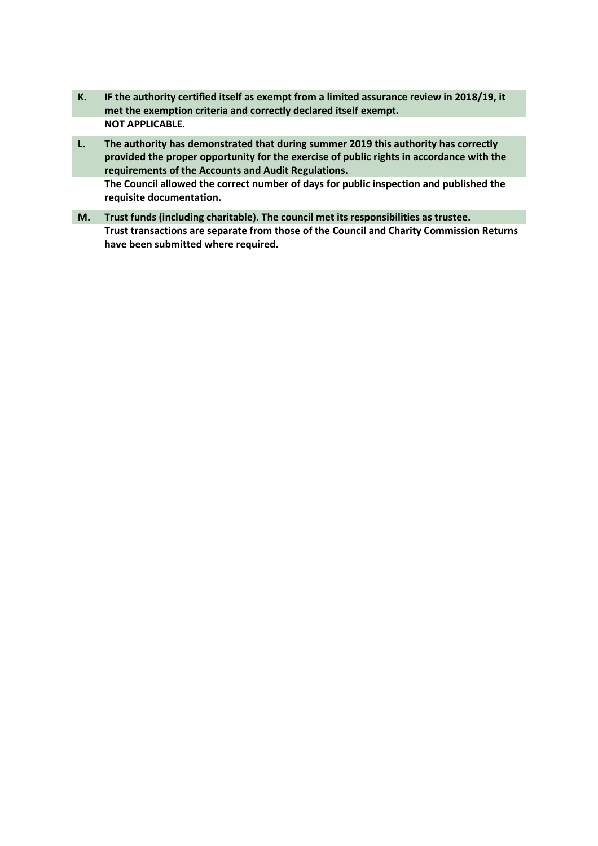- **K. IF the authority certified itself as exempt from a limited assurance review in 2018/19, it met the exemption criteria and correctly declared itself exempt. NOT APPLICABLE.**
- **L. The authority has demonstrated that during summer 2019 this authority has correctly provided the proper opportunity for the exercise of public rights in accordance with the requirements of the Accounts and Audit Regulations. The Council allowed the correct number of days for public inspection and published the requisite documentation.**
- **M. Trust funds (including charitable). The council met its responsibilities as trustee. Trust transactions are separate from those of the Council and Charity Commission Returns have been submitted where required.**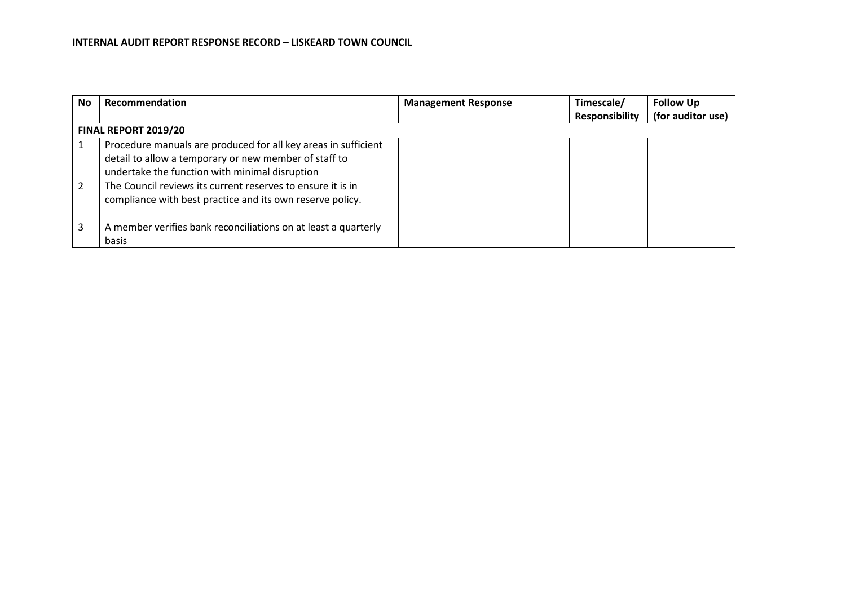| No. | Recommendation                                                 | <b>Management Response</b> | Timescale/            | <b>Follow Up</b>  |  |  |  |
|-----|----------------------------------------------------------------|----------------------------|-----------------------|-------------------|--|--|--|
|     |                                                                |                            | <b>Responsibility</b> | (for auditor use) |  |  |  |
|     | FINAL REPORT 2019/20                                           |                            |                       |                   |  |  |  |
|     | Procedure manuals are produced for all key areas in sufficient |                            |                       |                   |  |  |  |
|     | detail to allow a temporary or new member of staff to          |                            |                       |                   |  |  |  |
|     | undertake the function with minimal disruption                 |                            |                       |                   |  |  |  |
|     | The Council reviews its current reserves to ensure it is in    |                            |                       |                   |  |  |  |
|     | compliance with best practice and its own reserve policy.      |                            |                       |                   |  |  |  |
|     |                                                                |                            |                       |                   |  |  |  |
| 3   | A member verifies bank reconciliations on at least a quarterly |                            |                       |                   |  |  |  |
|     | basis                                                          |                            |                       |                   |  |  |  |